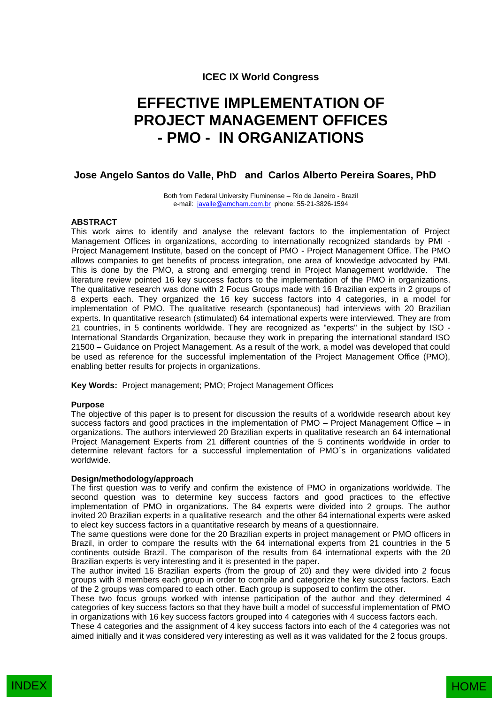# **ICEC IX World Congress**

# **EFFECTIVE IMPLEMENTATION OF PROJECT MANAGEMENT OFFICES - PMO - IN ORGANIZATIONS**

## **Jose Angelo Santos do Valle, PhD and Carlos Alberto Pereira Soares, PhD**

Both from Federal University Fluminense – Rio de Janeiro - Brazil e-mail: [javalle@amcham.com.br](mailto:javalle@amcham.com.br) phone: 55-21-3826-1594

#### **ABSTRACT**

This work aims to identify and analyse the relevant factors to the implementation of Project Management Offices in organizations, according to internationally recognized standards by PMI - Project Management Institute, based on the concept of PMO - Project Management Office. The PMO allows companies to get benefits of process integration, one area of knowledge advocated by PMI. This is done by the PMO, a strong and emerging trend in Project Management worldwide. The literature review pointed 16 key success factors to the implementation of the PMO in organizations. The qualitative research was done with 2 Focus Groups made with 16 Brazilian experts in 2 groups of 8 experts each. They organized the 16 key success factors into 4 categories, in a model for implementation of PMO. The qualitative research (spontaneous) had interviews with 20 Brazilian experts. In quantitative research (stimulated) 64 international experts were interviewed. They are from 21 countries, in 5 continents worldwide. They are recognized as "experts" in the subject by ISO - International Standards Organization, because they work in preparing the international standard ISO 21500 – Guidance on Project Management. As a result of the work, a model was developed that could be used as reference for the successful implementation of the Project Management Office (PMO), enabling better results for projects in organizations.

**Key Words:** Project management; PMO; Project Management Offices

#### **Purpose**

The objective of this paper is to present for discussion the results of a worldwide research about key success factors and good practices in the implementation of PMO – Project Management Office – in organizations. The authors interviewed 20 Brazilian experts in qualitative research an 64 international Project Management Experts from 21 different countries of the 5 continents worldwide in order to determine relevant factors for a successful implementation of PMO´s in organizations validated worldwide.

#### **Design/methodology/approach**

The first question was to verify and confirm the existence of PMO in organizations worldwide. The second question was to determine key success factors and good practices to the effective implementation of PMO in organizations. The 84 experts were divided into 2 groups. The author invited 20 Brazilian experts in a qualitative research and the other 64 international experts were asked to elect key success factors in a quantitative research by means of a questionnaire.

The same questions were done for the 20 Brazilian experts in project management or PMO officers in Brazil, in order to compare the results with the 64 international experts from 21 countries in the 5 continents outside Brazil. The comparison of the results from 64 international experts with the 20 Brazilian experts is very interesting and it is presented in the paper.

The author invited 16 Brazilian experts (from the group of 20) and they were divided into 2 focus groups with 8 members each group in order to compile and categorize the key success factors. Each of the 2 groups was compared to each other. Each group is supposed to confirm the other.

These two focus groups worked with intense participation of the author and they determined 4 categories of key success factors so that they have built a model of successful implementation of PMO in organizations with 16 key success factors grouped into 4 categories with 4 success factors each.

These 4 categories and the assignment of 4 key success factors into each of the 4 categories was not aimed initially and it was considered very interesting as well as it was validated for the 2 focus groups.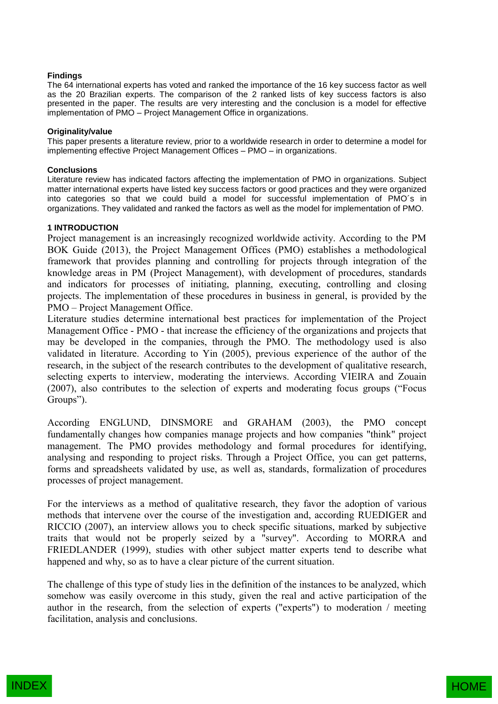#### **Findings**

The 64 international experts has voted and ranked the importance of the 16 key success factor as well as the 20 Brazilian experts. The comparison of the 2 ranked lists of key success factors is also presented in the paper. The results are very interesting and the conclusion is a model for effective implementation of PMO – Project Management Office in organizations.

#### **Originality/value**

This paper presents a literature review, prior to a worldwide research in order to determine a model for implementing effective Project Management Offices – PMO – in organizations.

#### **Conclusions**

Literature review has indicated factors affecting the implementation of PMO in organizations. Subject matter international experts have listed key success factors or good practices and they were organized into categories so that we could build a model for successful implementation of PMO´s in organizations. They validated and ranked the factors as well as the model for implementation of PMO.

## **1 INTRODUCTION**

Project management is an increasingly recognized worldwide activity. According to the PM BOK Guide (2013), the Project Management Offices (PMO) establishes a methodological framework that provides planning and controlling for projects through integration of the knowledge areas in PM (Project Management), with development of procedures, standards and indicators for processes of initiating, planning, executing, controlling and closing projects. The implementation of these procedures in business in general, is provided by the PMO – Project Management Office.

Literature studies determine international best practices for implementation of the Project Management Office - PMO - that increase the efficiency of the organizations and projects that may be developed in the companies, through the PMO. The methodology used is also validated in literature. According to Yin (2005), previous experience of the author of the research, in the subject of the research contributes to the development of qualitative research, selecting experts to interview, moderating the interviews. According VIEIRA and Zouain (2007), also contributes to the selection of experts and moderating focus groups ("Focus Groups").

According ENGLUND, DINSMORE and GRAHAM (2003), the PMO concept fundamentally changes how companies manage projects and how companies "think" project management. The PMO provides methodology and formal procedures for identifying, analysing and responding to project risks. Through a Project Office, you can get patterns, forms and spreadsheets validated by use, as well as, standards, formalization of procedures processes of project management.

For the interviews as a method of qualitative research, they favor the adoption of various methods that intervene over the course of the investigation and, according RUEDIGER and RICCIO (2007), an interview allows you to check specific situations, marked by subjective traits that would not be properly seized by a "survey". According to MORRA and FRIEDLANDER (1999), studies with other subject matter experts tend to describe what happened and why, so as to have a clear picture of the current situation.

The challenge of this type of study lies in the definition of the instances to be analyzed, which somehow was easily overcome in this study, given the real and active participation of the author in the research, from the selection of experts ("experts") to moderation / meeting facilitation, analysis and conclusions.

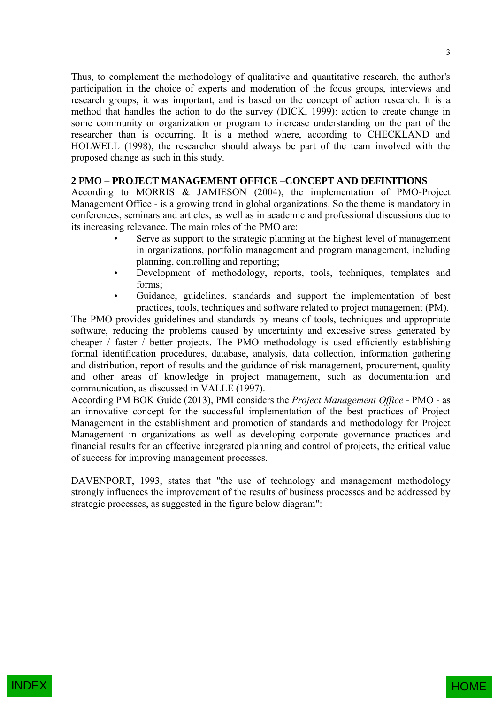Thus, to complement the methodology of qualitative and quantitative research, the author's participation in the choice of experts and moderation of the focus groups, interviews and research groups, it was important, and is based on the concept of action research. It is a method that handles the action to do the survey (DICK, 1999): action to create change in some community or organization or program to increase understanding on the part of the researcher than is occurring. It is a method where, according to CHECKLAND and HOLWELL (1998), the researcher should always be part of the team involved with the proposed change as such in this study.

## **2 PMO – PROJECT MANAGEMENT OFFICE –CONCEPT AND DEFINITIONS**

According to MORRIS & JAMIESON (2004), the implementation of PMO-Project Management Office - is a growing trend in global organizations. So the theme is mandatory in conferences, seminars and articles, as well as in academic and professional discussions due to its increasing relevance. The main roles of the PMO are:

- Serve as support to the strategic planning at the highest level of management in organizations, portfolio management and program management, including planning, controlling and reporting;
- Development of methodology, reports, tools, techniques, templates and forms;
- Guidance, guidelines, standards and support the implementation of best practices, tools, techniques and software related to project management (PM).

The PMO provides guidelines and standards by means of tools, techniques and appropriate software, reducing the problems caused by uncertainty and excessive stress generated by cheaper / faster / better projects. The PMO methodology is used efficiently establishing formal identification procedures, database, analysis, data collection, information gathering and distribution, report of results and the guidance of risk management, procurement, quality and other areas of knowledge in project management, such as documentation and communication, as discussed in VALLE (1997).

According PM BOK Guide (2013), PMI considers the *Project Management Office* - PMO - as an innovative concept for the successful implementation of the best practices of Project Management in the establishment and promotion of standards and methodology for Project Management in organizations as well as developing corporate governance practices and financial results for an effective integrated planning and control of projects, the critical value of success for improving management processes.

DAVENPORT, 1993, states that "the use of technology and management methodology strongly influences the improvement of the results of business processes and be addressed by strategic processes, as suggested in the figure below diagram":

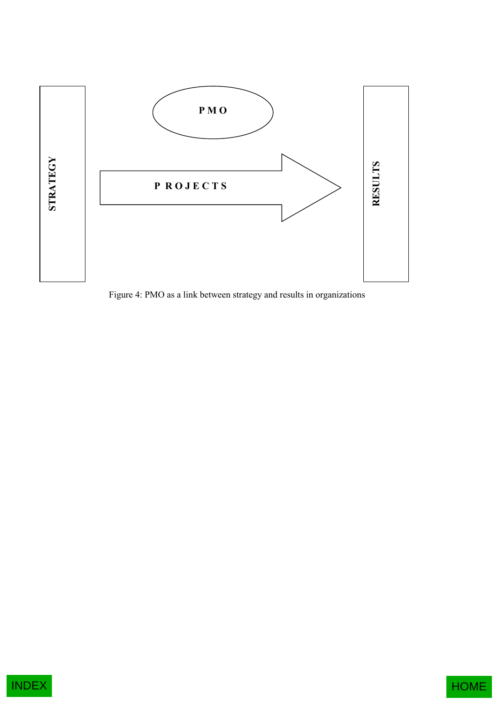

Figure 4: PMO as a link between strategy and results in organizations



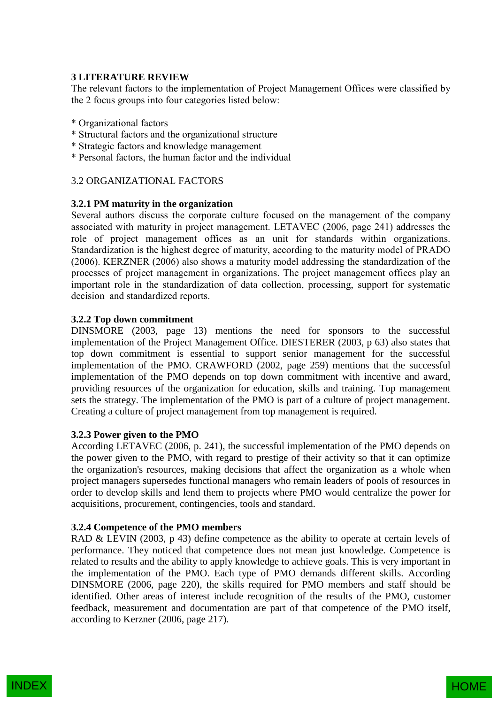# **3 LITERATURE REVIEW**

The relevant factors to the implementation of Project Management Offices were classified by the 2 focus groups into four categories listed below:

- \* Organizational factors
- \* Structural factors and the organizational structure
- \* Strategic factors and knowledge management
- \* Personal factors, the human factor and the individual

# 3.2 ORGANIZATIONAL FACTORS

# **3.2.1 PM maturity in the organization**

Several authors discuss the corporate culture focused on the management of the company associated with maturity in project management. LETAVEC (2006, page 241) addresses the role of project management offices as an unit for standards within organizations. Standardization is the highest degree of maturity, according to the maturity model of PRADO (2006). KERZNER (2006) also shows a maturity model addressing the standardization of the processes of project management in organizations. The project management offices play an important role in the standardization of data collection, processing, support for systematic decision and standardized reports.

# **3.2.2 Top down commitment**

DINSMORE (2003, page 13) mentions the need for sponsors to the successful implementation of the Project Management Office. DIESTERER (2003, p 63) also states that top down commitment is essential to support senior management for the successful implementation of the PMO. CRAWFORD (2002, page 259) mentions that the successful implementation of the PMO depends on top down commitment with incentive and award, providing resources of the organization for education, skills and training. Top management sets the strategy. The implementation of the PMO is part of a culture of project management. Creating a culture of project management from top management is required.

# **3.2.3 Power given to the PMO**

According LETAVEC (2006, p. 241), the successful implementation of the PMO depends on the power given to the PMO, with regard to prestige of their activity so that it can optimize the organization's resources, making decisions that affect the organization as a whole when project managers supersedes functional managers who remain leaders of pools of resources in order to develop skills and lend them to projects where PMO would centralize the power for acquisitions, procurement, contingencies, tools and standard.

# **3.2.4 Competence of the PMO members**

RAD & LEVIN (2003, p 43) define competence as the ability to operate at certain levels of performance. They noticed that competence does not mean just knowledge. Competence is related to results and the ability to apply knowledge to achieve goals. This is very important in the implementation of the PMO. Each type of PMO demands different skills. According DINSMORE (2006, page 220), the skills required for PMO members and staff should be identified. Other areas of interest include recognition of the results of the PMO, customer feedback, measurement and documentation are part of that competence of the PMO itself, according to Kerzner (2006, page 217).

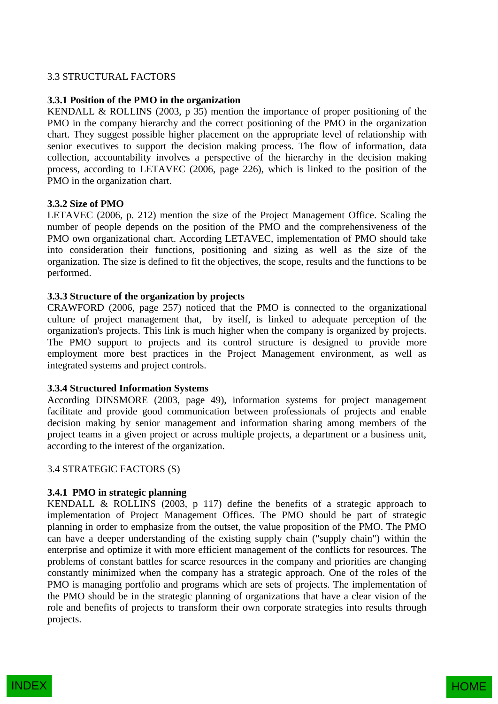# 3.3 STRUCTURAL FACTORS

## **3.3.1 Position of the PMO in the organization**

KENDALL & ROLLINS (2003, p 35) mention the importance of proper positioning of the PMO in the company hierarchy and the correct positioning of the PMO in the organization chart. They suggest possible higher placement on the appropriate level of relationship with senior executives to support the decision making process. The flow of information, data collection, accountability involves a perspective of the hierarchy in the decision making process, according to LETAVEC (2006, page 226), which is linked to the position of the PMO in the organization chart.

## **3.3.2 Size of PMO**

LETAVEC (2006, p. 212) mention the size of the Project Management Office. Scaling the number of people depends on the position of the PMO and the comprehensiveness of the PMO own organizational chart. According LETAVEC, implementation of PMO should take into consideration their functions, positioning and sizing as well as the size of the organization. The size is defined to fit the objectives, the scope, results and the functions to be performed.

## **3.3.3 Structure of the organization by projects**

CRAWFORD (2006, page 257) noticed that the PMO is connected to the organizational culture of project management that, by itself, is linked to adequate perception of the organization's projects. This link is much higher when the company is organized by projects. The PMO support to projects and its control structure is designed to provide more employment more best practices in the Project Management environment, as well as integrated systems and project controls.

## **3.3.4 Structured Information Systems**

According DINSMORE (2003, page 49), information systems for project management facilitate and provide good communication between professionals of projects and enable decision making by senior management and information sharing among members of the project teams in a given project or across multiple projects, a department or a business unit, according to the interest of the organization.

## 3.4 STRATEGIC FACTORS (S)

# **3.4.1 PMO in strategic planning**

KENDALL & ROLLINS (2003, p 117) define the benefits of a strategic approach to implementation of Project Management Offices. The PMO should be part of strategic planning in order to emphasize from the outset, the value proposition of the PMO. The PMO can have a deeper understanding of the existing supply chain ("supply chain") within the enterprise and optimize it with more efficient management of the conflicts for resources. The problems of constant battles for scarce resources in the company and priorities are changing constantly minimized when the company has a strategic approach. One of the roles of the PMO is managing portfolio and programs which are sets of projects. The implementation of the PMO should be in the strategic planning of organizations that have a clear vision of the role and benefits of projects to transform their own corporate strategies into results through projects.

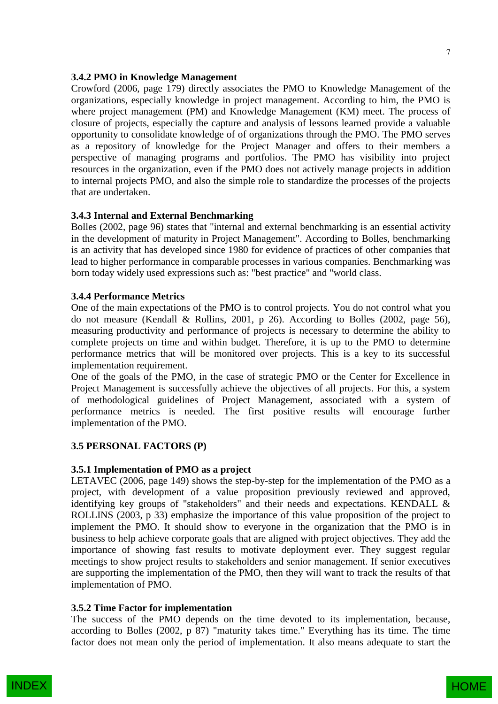#### **3.4.2 PMO in Knowledge Management**

Crowford (2006, page 179) directly associates the PMO to Knowledge Management of the organizations, especially knowledge in project management. According to him, the PMO is where project management (PM) and Knowledge Management (KM) meet. The process of closure of projects, especially the capture and analysis of lessons learned provide a valuable opportunity to consolidate knowledge of of organizations through the PMO. The PMO serves as a repository of knowledge for the Project Manager and offers to their members a perspective of managing programs and portfolios. The PMO has visibility into project resources in the organization, even if the PMO does not actively manage projects in addition to internal projects PMO, and also the simple role to standardize the processes of the projects that are undertaken.

## **3.4.3 Internal and External Benchmarking**

Bolles (2002, page 96) states that "internal and external benchmarking is an essential activity in the development of maturity in Project Management". According to Bolles, benchmarking is an activity that has developed since 1980 for evidence of practices of other companies that lead to higher performance in comparable processes in various companies. Benchmarking was born today widely used expressions such as: "best practice" and "world class.

#### **3.4.4 Performance Metrics**

One of the main expectations of the PMO is to control projects. You do not control what you do not measure (Kendall & Rollins, 2001, p 26). According to Bolles (2002, page 56), measuring productivity and performance of projects is necessary to determine the ability to complete projects on time and within budget. Therefore, it is up to the PMO to determine performance metrics that will be monitored over projects. This is a key to its successful implementation requirement.

One of the goals of the PMO, in the case of strategic PMO or the Center for Excellence in Project Management is successfully achieve the objectives of all projects. For this, a system of methodological guidelines of Project Management, associated with a system of performance metrics is needed. The first positive results will encourage further implementation of the PMO.

## **3.5 PERSONAL FACTORS (P)**

#### **3.5.1 Implementation of PMO as a project**

LETAVEC (2006, page 149) shows the step-by-step for the implementation of the PMO as a project, with development of a value proposition previously reviewed and approved, identifying key groups of "stakeholders" and their needs and expectations. KENDALL & ROLLINS (2003, p 33) emphasize the importance of this value proposition of the project to implement the PMO. It should show to everyone in the organization that the PMO is in business to help achieve corporate goals that are aligned with project objectives. They add the importance of showing fast results to motivate deployment ever. They suggest regular meetings to show project results to stakeholders and senior management. If senior executives are supporting the implementation of the PMO, then they will want to track the results of that implementation of PMO.

#### **3.5.2 Time Factor for implementation**

The success of the PMO depends on the time devoted to its implementation, because, according to Bolles (2002, p 87) "maturity takes time." Everything has its time. The time factor does not mean only the period of implementation. It also means adequate to start the

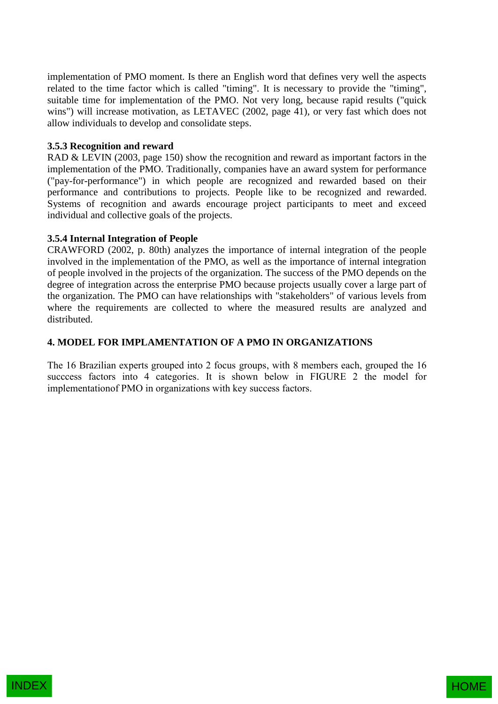implementation of PMO moment. Is there an English word that defines very well the aspects related to the time factor which is called "timing". It is necessary to provide the "timing", suitable time for implementation of the PMO. Not very long, because rapid results ("quick wins") will increase motivation, as LETAVEC (2002, page 41), or very fast which does not allow individuals to develop and consolidate steps.

# **3.5.3 Recognition and reward**

RAD & LEVIN (2003, page 150) show the recognition and reward as important factors in the implementation of the PMO. Traditionally, companies have an award system for performance ("pay-for-performance") in which people are recognized and rewarded based on their performance and contributions to projects. People like to be recognized and rewarded. Systems of recognition and awards encourage project participants to meet and exceed individual and collective goals of the projects.

# **3.5.4 Internal Integration of People**

CRAWFORD (2002, p. 80th) analyzes the importance of internal integration of the people involved in the implementation of the PMO, as well as the importance of internal integration of people involved in the projects of the organization. The success of the PMO depends on the degree of integration across the enterprise PMO because projects usually cover a large part of the organization. The PMO can have relationships with "stakeholders" of various levels from where the requirements are collected to where the measured results are analyzed and distributed.

# **4. MODEL FOR IMPLAMENTATION OF A PMO IN ORGANIZATIONS**

The 16 Brazilian experts grouped into 2 focus groups, with 8 members each, grouped the 16 succcess factors into 4 categories. It is shown below in FIGURE 2 the model for implementationof PMO in organizations with key success factors.

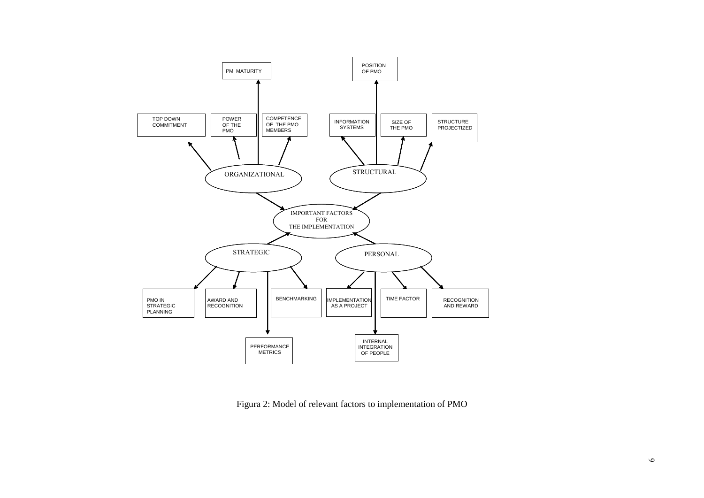

Figura 2: Model of relevant factors to implementation of PMO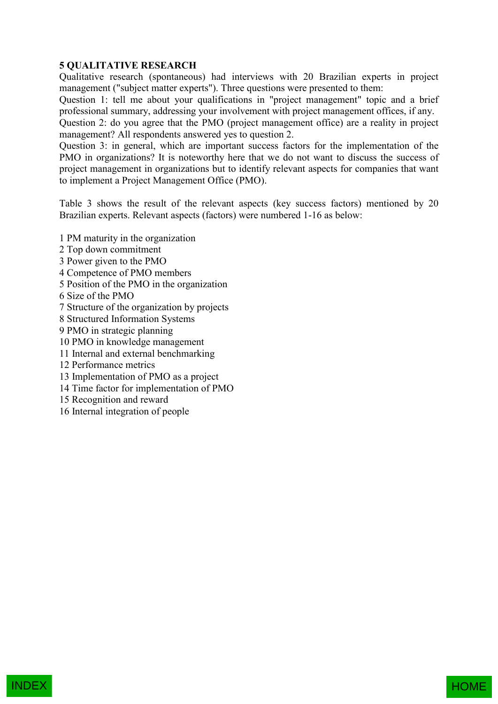# **5 QUALITATIVE RESEARCH**

Qualitative research (spontaneous) had interviews with 20 Brazilian experts in project management ("subject matter experts"). Three questions were presented to them:

Question 1: tell me about your qualifications in "project management" topic and a brief professional summary, addressing your involvement with project management offices, if any.

Question 2: do you agree that the PMO (project management office) are a reality in project management? All respondents answered yes to question 2.

Question 3: in general, which are important success factors for the implementation of the PMO in organizations? It is noteworthy here that we do not want to discuss the success of project management in organizations but to identify relevant aspects for companies that want to implement a Project Management Office (PMO).

Table 3 shows the result of the relevant aspects (key success factors) mentioned by 20 Brazilian experts. Relevant aspects (factors) were numbered 1-16 as below:

1 PM maturity in the organization

- 2 Top down commitment
- 3 Power given to the PMO
- 4 Competence of PMO members
- 5 Position of the PMO in the organization
- 6 Size of the PMO
- 7 Structure of the organization by projects
- 8 Structured Information Systems
- 9 PMO in strategic planning
- 10 PMO in knowledge management
- 11 Internal and external benchmarking
- 12 Performance metrics
- 13 Implementation of PMO as a project
- 14 Time factor for implementation of PMO
- 15 Recognition and reward
- 16 Internal integration of people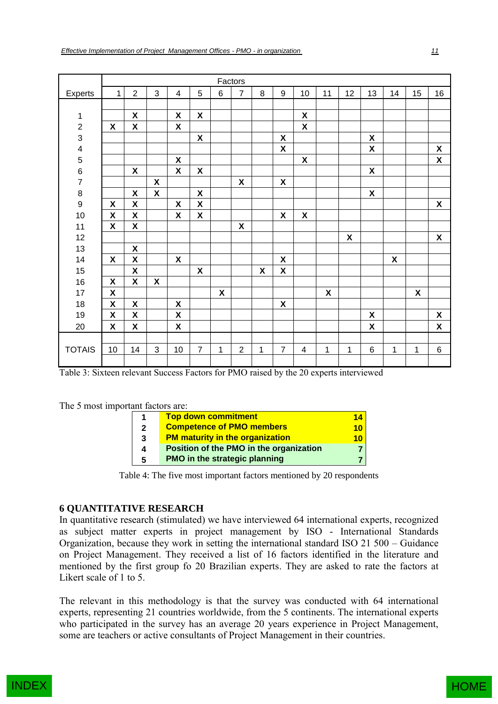|                |                    |                    |                    |                    |                           |                    | Factors          |                           |                           |                    |    |                    |                    |                    |                           |                    |
|----------------|--------------------|--------------------|--------------------|--------------------|---------------------------|--------------------|------------------|---------------------------|---------------------------|--------------------|----|--------------------|--------------------|--------------------|---------------------------|--------------------|
| Experts        | $\mathbf{1}$       | $\overline{2}$     | 3                  | 4                  | 5                         | $6\phantom{1}$     | $\overline{7}$   | 8                         | 9                         | 10                 | 11 | 12                 | 13                 | 14                 | 15                        | 16                 |
|                |                    |                    |                    |                    |                           |                    |                  |                           |                           |                    |    |                    |                    |                    |                           |                    |
| 1              |                    | $\pmb{\mathsf{X}}$ |                    | $\pmb{\mathsf{X}}$ | $\boldsymbol{\mathsf{X}}$ |                    |                  |                           |                           | X                  |    |                    |                    |                    |                           |                    |
| $\frac{2}{3}$  | $\pmb{\mathsf{X}}$ | $\pmb{\mathsf{X}}$ |                    | $\pmb{\mathsf{X}}$ |                           |                    |                  |                           |                           | $\mathsf{X}$       |    |                    |                    |                    |                           |                    |
|                |                    |                    |                    |                    | $\pmb{\chi}$              |                    |                  |                           | $\pmb{\mathsf{X}}$        |                    |    |                    | $\pmb{\mathsf{X}}$ |                    |                           |                    |
|                |                    |                    |                    |                    |                           |                    |                  |                           | $\pmb{\mathsf{X}}$        |                    |    |                    | $\pmb{\mathsf{X}}$ |                    |                           | $\pmb{\mathsf{X}}$ |
|                |                    |                    |                    | X                  |                           |                    |                  |                           |                           | $\pmb{\mathsf{X}}$ |    |                    |                    |                    |                           | $\pmb{\mathsf{X}}$ |
| 45678          |                    | $\pmb{\mathsf{X}}$ |                    | X                  | X                         |                    |                  |                           |                           |                    |    |                    | $\pmb{\chi}$       |                    |                           |                    |
|                |                    |                    | $\pmb{\chi}$       |                    |                           |                    | X                |                           | $\pmb{\mathsf{X}}$        |                    |    |                    |                    |                    |                           |                    |
|                |                    | $\pmb{\mathsf{X}}$ | $\pmb{\mathsf{X}}$ |                    | $\pmb{\mathsf{X}}$        |                    |                  |                           |                           |                    |    |                    | $\pmb{\mathsf{X}}$ |                    |                           |                    |
| $\overline{9}$ | $\pmb{\mathsf{X}}$ | $\pmb{\mathsf{X}}$ |                    | $\pmb{\mathsf{X}}$ | $\pmb{\mathsf{X}}$        |                    |                  |                           |                           |                    |    |                    |                    |                    |                           | $\pmb{\mathsf{X}}$ |
| $10$           | $\pmb{\mathsf{X}}$ | $\pmb{\mathsf{X}}$ |                    | $\pmb{\mathsf{X}}$ | $\boldsymbol{\mathsf{X}}$ |                    |                  |                           | $\pmb{\mathsf{X}}$        | X                  |    |                    |                    |                    |                           |                    |
| 11             | $\pmb{\mathsf{X}}$ | $\pmb{\mathsf{X}}$ |                    |                    |                           |                    | X                |                           |                           |                    |    |                    |                    |                    |                           |                    |
| 12             |                    |                    |                    |                    |                           |                    |                  |                           |                           |                    |    | $\pmb{\mathsf{X}}$ |                    |                    |                           | $\pmb{\chi}$       |
| 13             |                    | $\pmb{\mathsf{X}}$ |                    |                    |                           |                    |                  |                           |                           |                    |    |                    |                    |                    |                           |                    |
| 14             | $\pmb{\mathsf{X}}$ | $\pmb{\mathsf{X}}$ |                    | $\pmb{\mathsf{X}}$ |                           |                    |                  |                           | $\pmb{\mathsf{X}}$        |                    |    |                    |                    | $\pmb{\mathsf{X}}$ |                           |                    |
| 15             |                    | $\pmb{\mathsf{X}}$ |                    |                    | $\pmb{\mathsf{X}}$        |                    |                  | $\boldsymbol{\mathsf{X}}$ | $\pmb{\mathsf{X}}$        |                    |    |                    |                    |                    |                           |                    |
| 16             | $\pmb{\mathsf{X}}$ | X                  | X                  |                    |                           |                    |                  |                           |                           |                    |    |                    |                    |                    |                           |                    |
| $17$           | $\pmb{\mathsf{X}}$ |                    |                    |                    |                           | $\pmb{\mathsf{X}}$ |                  |                           |                           |                    | X  |                    |                    |                    | $\boldsymbol{\mathsf{X}}$ |                    |
| 18             | $\pmb{\mathsf{X}}$ | $\pmb{\mathsf{X}}$ |                    | $\pmb{\chi}$       |                           |                    |                  |                           | $\boldsymbol{\mathsf{X}}$ |                    |    |                    |                    |                    |                           |                    |
| 19             | $\pmb{\mathsf{X}}$ | $\pmb{\mathsf{X}}$ |                    | $\pmb{\mathsf{X}}$ |                           |                    |                  |                           |                           |                    |    |                    | $\pmb{\mathsf{X}}$ |                    |                           | $\pmb{\mathsf{X}}$ |
| 20             | $\pmb{\mathsf{X}}$ | $\pmb{\mathsf{X}}$ |                    | $\pmb{\mathsf{X}}$ |                           |                    |                  |                           |                           |                    |    |                    | $\pmb{\mathsf{X}}$ |                    |                           | $\pmb{\mathsf{X}}$ |
|                |                    |                    |                    |                    |                           |                    |                  |                           |                           |                    |    |                    |                    |                    |                           |                    |
| <b>TOTAIS</b>  | $10$               | 14                 | $\mathbf{3}$       | $10$               | $\overline{7}$            | 1                  | $\boldsymbol{2}$ | 1                         | $\overline{7}$            | 4                  | 1  | 1                  | $\,6$              | 1                  | 1                         | $\,6\,$            |
|                |                    |                    |                    |                    |                           |                    |                  |                           |                           |                    |    |                    |                    |                    |                           |                    |

| Effective Implementation of Project Management Offices - PMO - in organization |
|--------------------------------------------------------------------------------|

Table 3: Sixteen relevant Success Factors for PMO raised by the 20 experts interviewed

The 5 most important factors are:

| 1            | <b>Top down commitment</b>              | 14 |
|--------------|-----------------------------------------|----|
| $\mathbf{2}$ | <b>Competence of PMO members</b>        | 10 |
| 3            | <b>PM maturity in the organization</b>  | 10 |
| 4            | Position of the PMO in the organization |    |
| 5            | PMO in the strategic planning           |    |

Table 4: The five most important factors mentioned by 20 respondents

# **6 QUANTITATIVE RESEARCH**

In quantitative research (stimulated) we have interviewed 64 international experts, recognized as subject matter experts in project management by ISO - International Standards Organization, because they work in setting the international standard ISO 21 500 – Guidance on Project Management. They received a list of 16 factors identified in the literature and mentioned by the first group fo 20 Brazilian experts. They are asked to rate the factors at Likert scale of 1 to 5.

The relevant in this methodology is that the survey was conducted with 64 international experts, representing 21 countries worldwide, from the 5 continents. The international experts who participated in the survey has an average 20 years experience in Project Management, some are teachers or active consultants of Project Management in their countries.

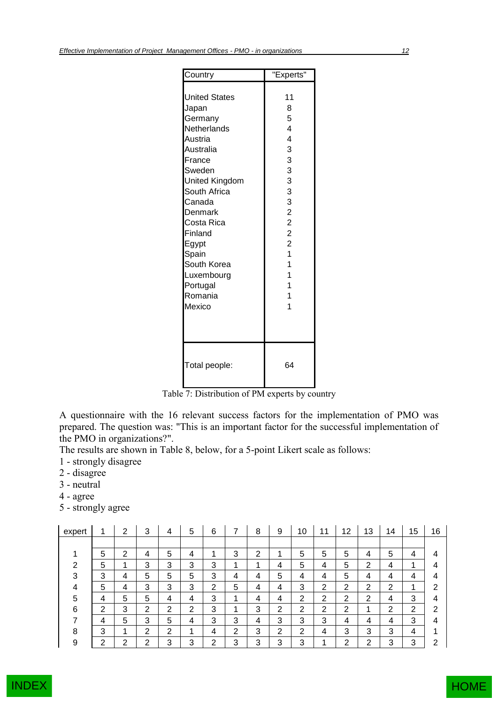| Country                                                                                                                                                                                                                                                             | "Experts"                                                                                                                                                               |
|---------------------------------------------------------------------------------------------------------------------------------------------------------------------------------------------------------------------------------------------------------------------|-------------------------------------------------------------------------------------------------------------------------------------------------------------------------|
| <b>United States</b><br>Japan<br>Germany<br>Netherlands<br>Austria<br>Australia<br>France<br>Sweden<br>United Kingdom<br>South Africa<br>Canada<br>Denmark<br>Costa Rica<br>Finland<br>Egypt<br>Spain<br>South Korea<br>Luxembourg<br>Portugal<br>Romania<br>Mexico | 11<br>8<br>5<br>4<br>4<br>3<br>3<br>3<br>3<br>3<br>3<br>$\overline{c}$<br>$\overline{c}$<br>$\overline{c}$<br>$\overline{c}$<br>$\overline{1}$<br>1<br>1<br>1<br>1<br>1 |
| Total people:                                                                                                                                                                                                                                                       | 64                                                                                                                                                                      |

Table 7: Distribution of PM experts by country

A questionnaire with the 16 relevant success factors for the implementation of PMO was prepared. The question was: "This is an important factor for the successful implementation of the PMO in organizations?".

The results are shown in Table 8, below, for a 5-point Likert scale as follows:

- 1 strongly disagree
- 2 disagree
- 3 neutral
- 4 agree
- 5 strongly agree

| expert |   | າ<br>∠ | 3 | 4      | 5 | 6      |   | 8 | 9      | 10 | 11 | 12     | 13 | 14     | 15     | 16 |
|--------|---|--------|---|--------|---|--------|---|---|--------|----|----|--------|----|--------|--------|----|
|        |   |        |   |        |   |        |   |   |        |    |    |        |    |        |        |    |
|        | 5 | 2      | 4 | 5      | 4 | ◢      | 3 | 2 | 1      | 5  | 5  | 5      | 4  | 5      | 4      | 4  |
| ົ      | 5 |        | 3 | 3      | 3 | 3      | 4 | ◢ | 4      | 5  | 4  | 5      | 2  | 4      | ◢      | 4  |
| 3      | 3 | 4      | 5 | 5      | 5 | 3      | 4 | 4 | 5      | 4  | 4  | 5      | 4  | 4      | 4      | 4  |
| 4      | 5 | 4      | 3 | 3      | 3 | 2      | 5 | 4 | 4      | 3  | ົ  | 2      | 2  | ⌒<br>∠ | ۸      | 2  |
| 5      | 4 | 5      | 5 | 4      | 4 | 3      | 4 | 4 | 4      | ⌒  | ⌒  | ⌒<br>∠ | 2  | 4      | 3      | 4  |
| 6      | າ | 3      | ົ | າ      | ົ | 3      | 4 | 3 | っ<br>∠ | ົ  | ົ  | ◠      | л  | ⌒      | っ<br>∠ | 2  |
|        | 4 | 5      | 3 | 5      | 4 | 3      | 3 | 4 | 3      | 3  | 3  | 4      | 4  | 4      | 3      | 4  |
| 8      | 3 |        | ⌒ | າ<br>∠ | ◢ | 4      | ⌒ | 3 | 2      | ົ  |    | 3      | 3  | 3      | 4      |    |
| 9      | ົ | ົ      | ⌒ | 3      | 3 | ົ<br>∠ | 3 | 3 | 3      | 3  |    | າ      | າ  | 3      | 3      | 2  |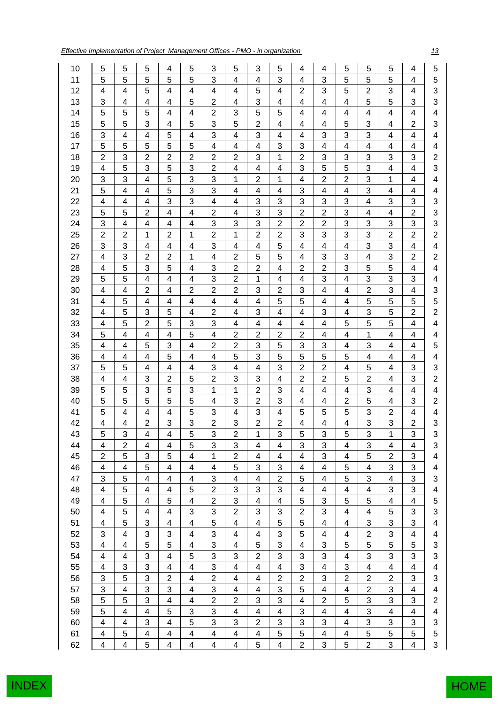*Effective Implementation of Project Management Offices - PMO - in organization 13*

| 10 | 5                       | 5              | 5                       | 4                        | 5                       | 3                       | 5                        | 3                       | 5                       | 4              | 4                         | 5                       | 5              | 5                       | 4                       | 5                         |
|----|-------------------------|----------------|-------------------------|--------------------------|-------------------------|-------------------------|--------------------------|-------------------------|-------------------------|----------------|---------------------------|-------------------------|----------------|-------------------------|-------------------------|---------------------------|
| 11 | 5                       | 5              | 5                       | 5                        | 5                       | 3                       | 4                        | 4                       | 3                       | 4              | 3                         | 5                       | 5              | 5                       | 4                       | 5                         |
| 12 | 4                       | 4              | 5                       | 4                        | 4                       | 4                       | 4                        | 5                       | 4                       | $\overline{2}$ | 3                         | 5                       | $\overline{2}$ | 3                       | 4                       | 3                         |
| 13 | 3                       | 4              | $\overline{\mathbf{4}}$ | $\overline{\mathbf{4}}$  | 5                       | $\overline{2}$          | 4                        | 3                       | 4                       | 4              | $\overline{\mathbf{4}}$   | 4                       | 5              | 5                       | 3                       | 3                         |
| 14 | 5                       | 5              | 5                       | $\overline{\mathbf{4}}$  | 4                       | $\overline{2}$          | 3                        | 5                       | 5                       | 4              | 4                         | 4                       | 4              | 4                       | $\overline{4}$          | $\overline{\mathbf{4}}$   |
| 15 | 5                       | 5              | 3                       | 4                        | 5                       | 3                       | 5                        | $\boldsymbol{2}$        | 4                       | 4              | 4                         | 5                       | 3              | 4                       | $\overline{c}$          | $\sqrt{3}$                |
| 16 | 3                       | 4              | $\overline{\mathbf{4}}$ | 5                        | 4                       | 3                       | 4                        | 3                       | $\overline{\mathbf{4}}$ | 4              | 3                         | 3                       | 3              | 4                       | 4                       | 4                         |
| 17 | 5                       | 5              | 5                       | 5                        | 5                       | 4                       | 4                        | 4                       | 3                       | 3              | 4                         | 4                       | 4              | 4                       | 4                       | 4                         |
| 18 | $\overline{2}$          | 3              | $\overline{2}$          | $\overline{c}$           | $\overline{2}$          | $\overline{c}$          | $\overline{2}$           | 3                       | 1                       | $\overline{2}$ | $\mathbf{3}$              | 3                       | 3              | 3                       | 3                       | $\overline{\mathbf{c}}$   |
| 19 | 4                       | 5              | 3                       | 5                        | 3                       | $\overline{2}$          | 4                        | $\overline{4}$          | 4                       | 3              | 5                         | 5                       | 3              | 4                       | 4                       | 3                         |
| 20 | 3                       | 3              | 4                       | 5                        | 3                       | 3                       | 1                        | $\overline{2}$          | 1                       | 4              | $\boldsymbol{2}$          | $\overline{c}$          | 3              | 1                       | 4                       | $\overline{\mathbf{4}}$   |
| 21 | 5                       | 4              | 4                       | 5                        | 3                       | 3                       | 4                        | 4                       | $\overline{\mathbf{4}}$ | 3              | 4                         | 4                       | 3              | 4                       | 4                       | $\overline{\mathcal{A}}$  |
| 22 | 4                       | 4              | 4                       | 3                        | 3                       | 4                       | 4                        | 3                       | 3                       | 3              | 3                         | 3                       | 4              | 3                       | 3                       | 3                         |
| 23 | 5                       | 5              | $\overline{2}$          | 4                        | 4                       | $\overline{c}$          | 4                        | 3                       | 3                       | $\overline{c}$ | $\overline{2}$            | 3                       | 4              | 4                       | 2                       | 3                         |
| 24 | 3                       | 4              | 4                       | 4                        | 4                       | 3                       | 3                        | 3                       | $\overline{2}$          | $\overline{2}$ | $\mathbf 2$               | 3                       | 3              | 3                       | 3                       | 3                         |
| 25 | $\overline{2}$          | $\overline{2}$ | 1                       | $\overline{2}$           | 1                       | $\overline{2}$          | 1                        | $\overline{2}$          | $\overline{2}$          | 3              | $\ensuremath{\mathsf{3}}$ | 3                       | 3              | $\overline{2}$          | $\overline{2}$          | $\overline{c}$            |
| 26 | 3                       | 3              | 4                       | $\overline{\mathcal{A}}$ | 4                       | 3                       | 4                        | $\overline{4}$          | 5                       | 4              | 4                         | 4                       | 3              | 3                       | 4                       | $\overline{\mathcal{A}}$  |
| 27 | 4                       | 3              | $\overline{2}$          | $\overline{2}$           | 1                       | 4                       | $\overline{2}$           | 5                       | 5                       | 4              | 3                         | 3                       | $\overline{4}$ | 3                       | $\overline{2}$          | $\boldsymbol{2}$          |
| 28 | 4                       | 5              | 3                       | 5                        | 4                       | 3                       | $\overline{\mathbf{c}}$  | $\overline{2}$          | $\overline{\mathbf{4}}$ | $\overline{c}$ | $\overline{2}$            | 3                       | 5              | 5                       | 4                       | $\overline{\mathbf{4}}$   |
| 29 | 5                       | 5              | 4                       | $\overline{\mathbf{4}}$  | 4                       | 3                       | $\mathbf{2}$             | 1                       | 4                       | 4              | $\ensuremath{\mathsf{3}}$ | 4                       | 3              | 3                       | 3                       | 4                         |
| 30 | 4                       | 4              | $\overline{c}$          | 4                        | $\overline{c}$          | $\mathbf 2$             | $\overline{c}$           | 3                       | $\overline{c}$          | 3              | 4                         | 4                       | $\overline{2}$ | 3                       | 4                       | 3                         |
| 31 | 4                       | 5              | 4                       | 4                        | 4                       | 4                       | 4                        | 4                       | 5                       | 5              | 4                         | 4                       | 5              | 5                       | 5                       | 5                         |
| 32 | 4                       | 5              | 3                       | 5                        | 4                       | $\overline{2}$          | 4                        | 3                       | $\overline{\mathbf{4}}$ | 4              | 3                         | 4                       | 3              | 5                       | $\overline{2}$          | $\overline{c}$            |
| 33 | 4                       | 5              | $\overline{c}$          | 5                        | 3                       | 3                       | 4                        | $\overline{4}$          | $\overline{\mathbf{4}}$ | 4              | 4                         | 5                       | 5              | 5                       | 4                       | 4                         |
| 34 | 5                       | 4              | 4                       | $\overline{\mathbf{4}}$  | 5                       | 4                       | $\overline{\mathbf{c}}$  | $\boldsymbol{2}$        | $\overline{c}$          | $\mathbf{2}$   | 4                         | 4                       | 1              | 4                       | 4                       | 4                         |
| 35 | 4                       | 4              | 5                       | 3                        | 4                       | $\overline{2}$          | $\overline{2}$           | 3                       | 5                       | 3              | 3                         | 4                       | 3              | 4                       | 4                       | 5                         |
| 36 | 4                       | 4              | 4                       | 5                        | 4                       | 4                       | 5                        | 3                       | 5                       | 5              | 5                         | 5                       | 4              | 4                       | 4                       | $\overline{\mathbf{4}}$   |
| 37 | 5                       | 5              | $\overline{\mathbf{4}}$ | $\overline{\mathbf{4}}$  | $\overline{\mathbf{4}}$ | 3                       | 4                        | $\overline{4}$          | 3                       | $\overline{2}$ | $\overline{c}$            | $\overline{4}$          | 5              | 4                       | 3                       | 3                         |
| 38 | 4                       | 4              | 3                       | $\overline{2}$           | 5                       | $\overline{2}$          | 3                        | 3                       | 4                       | $\overline{2}$ | $\overline{2}$            | 5                       | $\overline{2}$ | 4                       | 3                       | $\overline{c}$            |
| 39 | 5                       | 5              | 3                       | 5                        | 3                       | 1                       | 1                        | $\overline{2}$          | 3                       | 4              | 4                         | 4                       | 3              | 4                       | 4                       | 4                         |
| 40 | 5                       | 5              | 5                       | 5                        | 5                       | 4                       | 3                        | $\overline{2}$          | 3                       | 4              | $\overline{4}$            | $\overline{2}$          | 5              | 4                       | 3                       | $\overline{\mathbf{c}}$   |
| 41 | 5                       | 4              | 4                       | 4                        | 5                       | 3                       | 4                        | 3                       | 4                       | 5              | 5                         | 5                       | 3              | $\overline{2}$          | 4                       | 4                         |
| 42 | 4                       | 4              | 2                       | 3                        | 3                       | $\overline{c}$          | 3                        | $\overline{\mathbf{c}}$ | $\overline{c}$          | 4              | 4                         | 4                       | 3              | 3                       | $\overline{c}$          | 3                         |
| 43 | 5                       | 3              | 4                       | $\overline{4}$           | 5                       | 3                       | $\overline{2}$           | 1                       | 3                       | 5              | 3                         | 5                       | 3              | 1                       | 3                       | 3                         |
| 44 | 4                       | $\overline{c}$ | 4                       | $\overline{\mathbf{4}}$  | 5                       | 3                       | 3                        | 4                       | 4                       | 3              | 3                         | 4                       | 3              | 4                       | 4                       | 3                         |
| 45 | $\overline{2}$          | 5              | 3                       | 5                        | 4                       | 1                       | $\overline{2}$           | $\overline{\mathbf{4}}$ | 4                       | 4              | 3                         | $\overline{4}$          | 5              | $\overline{2}$          | 3                       | $\overline{\mathbf{4}}$   |
| 46 | 4                       | 4              | 5                       | 4                        | 4                       | 4                       | 5                        | 3                       | 3                       | 4              | 4                         | 5                       | 4              | 3                       | 3                       | $\overline{\mathbf{4}}$   |
| 47 | 3                       | 5              | $\overline{\mathbf{4}}$ | $\overline{\mathbf{4}}$  | 4                       | 3                       | $\overline{\mathbf{4}}$  | $\overline{\mathbf{4}}$ | $\overline{2}$          | 5              | $\overline{\mathbf{4}}$   | 5                       | 3              | $\overline{\mathbf{4}}$ | 3                       | 3                         |
| 48 | 4                       | 5              | 4                       | 4                        | 5                       | $\overline{c}$          | 3                        | 3                       | 3                       | 4              | 4                         | 4                       | 4              | 3                       | 3                       | 4                         |
| 49 | 4                       | 5              | $\overline{\mathbf{4}}$ | 5                        | 4                       | $\overline{c}$          | 3                        | $\overline{\mathbf{4}}$ | 4                       | 5              | $\ensuremath{\mathsf{3}}$ | 5                       | 5              | 4                       | 4                       | 5                         |
| 50 | 4                       | 5              | 4                       | $\overline{\mathbf{4}}$  | 3                       | 3                       | $\overline{2}$           | 3                       | 3                       | $\overline{2}$ | 3                         | $\overline{\mathbf{4}}$ | 4              | 5                       | 3                       | 3                         |
| 51 | 4                       | 5              | 3                       | 4                        | 4                       | 5                       | 4                        | $\overline{4}$          | 5                       | 5              | $\overline{\mathbf{4}}$   | $\overline{4}$          | 3              | 3                       | 3                       | $\overline{\mathbf{4}}$   |
| 52 | 3                       | 4              | 3                       | 3                        | 4                       | 3                       | 4                        | $\overline{\mathbf{4}}$ | 3                       | 5              | $\overline{\mathbf{4}}$   | 4                       | $\overline{c}$ | 3                       | $\overline{\mathbf{4}}$ | $\overline{\mathbf{4}}$   |
| 53 | 4                       | 4              | 5                       | 5                        | 4                       | 3                       | 4                        | 5                       | 3                       | 4              | 3                         | 5                       | 5              | 5                       | 5                       | 3                         |
| 54 | 4                       | 4              | 3                       | 4                        | 5                       | 3                       | 3                        | $\boldsymbol{2}$        | 3                       | 3              | 3                         | 4                       | 3              | 3                       | 3                       | 3                         |
| 55 | 4                       | 3              | 3                       | $\overline{\mathbf{4}}$  | 4                       | 3                       | 4                        | 4                       | 4                       | 3              | 4                         | 3                       | 4              | 4                       | 4                       | $\overline{\mathbf{4}}$   |
| 56 | 3                       | 5              | 3                       | $\overline{2}$           | $\overline{\mathbf{4}}$ | $\overline{2}$          | $\overline{\mathbf{4}}$  | $\overline{\mathbf{4}}$ | $\overline{2}$          | $\overline{2}$ | $\mathsf 3$               | $\overline{2}$          | $\overline{2}$ | $\overline{2}$          | 3                       | 3                         |
| 57 | 3                       | 4              | 3                       | 3                        | 4                       | 3                       | 4                        | 4                       | 3                       | 5              | 4                         | $\overline{\mathbf{4}}$ | $\overline{c}$ | 3                       | 4                       | $\overline{\mathcal{A}}$  |
| 58 | 5                       | 5              | 3                       | $\overline{\mathbf{4}}$  | 4                       | $\overline{c}$          | $\overline{c}$           | 3                       | 3                       | 4              | $\overline{c}$            | 5                       | 3              | 3                       | 3                       | $\overline{\mathbf{c}}$   |
| 59 | 5                       | 4              | 4                       | 5                        | 3                       | 3                       | 4                        | 4                       | 4                       | 3              | 4                         | 4                       | 3              | 4                       | 4                       | $\overline{\mathcal{A}}$  |
| 60 | 4                       | 4              | 3                       | $\overline{\mathbf{4}}$  | 5                       | 3                       | 3                        | $\overline{2}$          | 3                       | 3              | 3                         | 4                       | 3              | 3                       | 3                       | $\ensuremath{\mathsf{3}}$ |
| 61 | $\overline{\mathbf{4}}$ | 5              | $\overline{\mathbf{4}}$ | $\overline{\mathbf{4}}$  | 4                       | $\overline{\mathbf{4}}$ | $\overline{\mathcal{A}}$ | $\overline{\mathbf{4}}$ | 5                       | 5              | $\overline{\mathcal{A}}$  | 4                       | 5              | 5                       | 5                       | $\overline{5}$            |
| 62 | 4                       | 4              | 5                       | 4                        | 4                       | 4                       | 4                        | 5                       | 4                       | $\overline{c}$ | 3                         | 5                       | $\overline{2}$ | 3                       | 4                       | $\mathsf 3$               |
|    |                         |                |                         |                          |                         |                         |                          |                         |                         |                |                           |                         |                |                         |                         |                           |

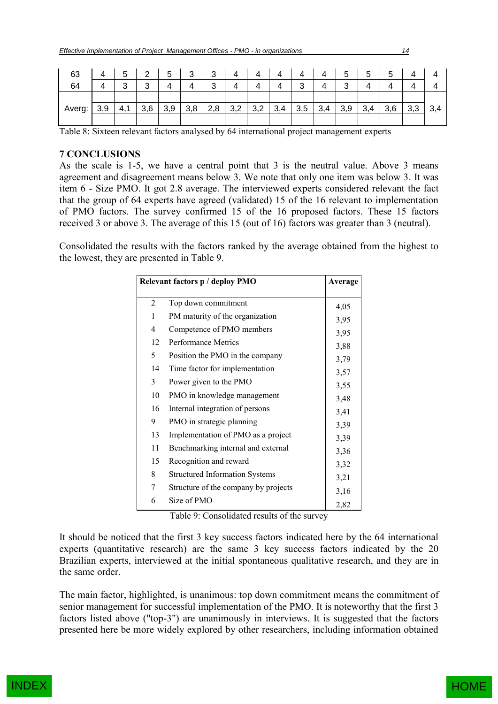| 63     |     | Б. | $\mathcal{P}$ | 5   | 3   | ્ર<br>ັ | 4   | 4   |     |     | 4   | 5   | 5   | 5   |     |     |
|--------|-----|----|---------------|-----|-----|---------|-----|-----|-----|-----|-----|-----|-----|-----|-----|-----|
| 64     |     | ົ  | ົ<br>ບ        |     |     | ≏<br>ັ  | 4   | 4   |     | ົ   |     | ⌒   |     |     |     |     |
|        |     |    |               |     |     |         |     |     |     |     |     |     |     |     |     |     |
| Averg: | 3,9 | 4. | 3,6           | 3,9 | 3,8 | 2,8     | 3,2 | 3,2 | 3,4 | 3,5 | 3,4 | 3,9 | 3,4 | 3,6 | 3,3 | 3,4 |
|        |     |    |               |     |     |         |     |     |     |     |     |     |     |     |     |     |

Table 8: Sixteen relevant factors analysed by 64 international project management experts

# **7 CONCLUSIONS**

As the scale is 1-5, we have a central point that 3 is the neutral value. Above 3 means agreement and disagreement means below 3. We note that only one item was below 3. It was item 6 - Size PMO. It got 2.8 average. The interviewed experts considered relevant the fact that the group of 64 experts have agreed (validated) 15 of the 16 relevant to implementation of PMO factors. The survey confirmed 15 of the 16 proposed factors. These 15 factors received 3 or above 3. The average of this 15 (out of 16) factors was greater than 3 (neutral).

Consolidated the results with the factors ranked by the average obtained from the highest to the lowest, they are presented in Table 9.

|                | Relevant factors p / deploy PMO       | Average |
|----------------|---------------------------------------|---------|
| $\overline{2}$ | Top down commitment                   | 4,05    |
| 1              | PM maturity of the organization       | 3,95    |
| 4              | Competence of PMO members             | 3,95    |
| 12             | <b>Performance Metrics</b>            | 3,88    |
| 5              | Position the PMO in the company       | 3,79    |
| 14             | Time factor for implementation        | 3,57    |
| 3              | Power given to the PMO                | 3,55    |
| 10             | PMO in knowledge management           | 3,48    |
| 16             | Internal integration of persons       | 3,41    |
| 9              | PMO in strategic planning             | 3,39    |
| 13             | Implementation of PMO as a project    | 3,39    |
| 11             | Benchmarking internal and external    | 3,36    |
| 15             | Recognition and reward                | 3,32    |
| 8              | <b>Structured Information Systems</b> | 3,21    |
| 7              | Structure of the company by projects  | 3,16    |
| 6              | Size of PMO                           | 2,82    |

Table 9: Consolidated results of the survey

It should be noticed that the first 3 key success factors indicated here by the 64 international experts (quantitative research) are the same 3 key success factors indicated by the 20 Brazilian experts, interviewed at the initial spontaneous qualitative research, and they are in the same order.

The main factor, highlighted, is unanimous: top down commitment means the commitment of senior management for successful implementation of the PMO. It is noteworthy that the first 3 factors listed above ("top-3") are unanimously in interviews. It is suggested that the factors presented here be more widely explored by other researchers, including information obtained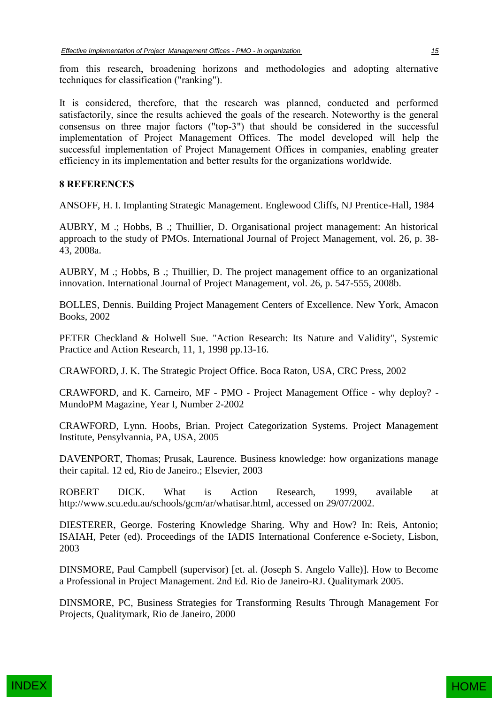from this research, broadening horizons and methodologies and adopting alternative techniques for classification ("ranking").

It is considered, therefore, that the research was planned, conducted and performed satisfactorily, since the results achieved the goals of the research. Noteworthy is the general consensus on three major factors ("top-3") that should be considered in the successful implementation of Project Management Offices. The model developed will help the successful implementation of Project Management Offices in companies, enabling greater efficiency in its implementation and better results for the organizations worldwide.

# **8 REFERENCES**

ANSOFF, H. I. Implanting Strategic Management. Englewood Cliffs, NJ Prentice-Hall, 1984

AUBRY, M .; Hobbs, B .; Thuillier, D. Organisational project management: An historical approach to the study of PMOs. International Journal of Project Management, vol. 26, p. 38- 43, 2008a.

AUBRY, M .; Hobbs, B .; Thuillier, D. The project management office to an organizational innovation. International Journal of Project Management, vol. 26, p. 547-555, 2008b.

BOLLES, Dennis. Building Project Management Centers of Excellence. New York, Amacon Books, 2002

PETER Checkland & Holwell Sue. "Action Research: Its Nature and Validity", Systemic Practice and Action Research, 11, 1, 1998 pp.13-16.

CRAWFORD, J. K. The Strategic Project Office. Boca Raton, USA, CRC Press, 2002

CRAWFORD, and K. Carneiro, MF - PMO - Project Management Office - why deploy? - MundoPM Magazine, Year I, Number 2-2002

CRAWFORD, Lynn. Hoobs, Brian. Project Categorization Systems. Project Management Institute, Pensylvannia, PA, USA, 2005

DAVENPORT, Thomas; Prusak, Laurence. Business knowledge: how organizations manage their capital. 12 ed, Rio de Janeiro.; Elsevier, 2003

ROBERT DICK. What is Action Research, 1999, available at http://www.scu.edu.au/schools/gcm/ar/whatisar.html, accessed on 29/07/2002.

DIESTERER, George. Fostering Knowledge Sharing. Why and How? In: Reis, Antonio; ISAIAH, Peter (ed). Proceedings of the IADIS International Conference e-Society, Lisbon, 2003

DINSMORE, Paul Campbell (supervisor) [et. al. (Joseph S. Angelo Valle)]. How to Become a Professional in Project Management. 2nd Ed. Rio de Janeiro-RJ. Qualitymark 2005.

DINSMORE, PC, Business Strategies for Transforming Results Through Management For Projects, Qualitymark, Rio de Janeiro, 2000



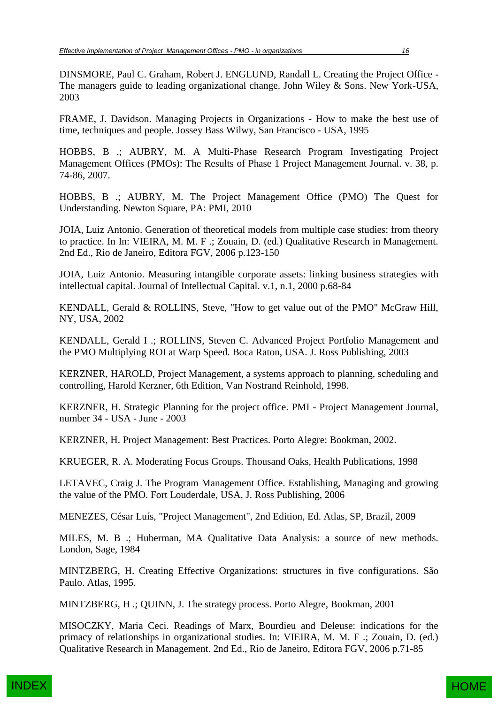DINSMORE, Paul C. Graham, Robert J. ENGLUND, Randall L. Creating the Project Office - The managers guide to leading organizational change. John Wiley & Sons. New York-USA, 2003

FRAME, J. Davidson. Managing Projects in Organizations - How to make the best use of time, techniques and people. Jossey Bass Wilwy, San Francisco - USA, 1995

HOBBS, B .; AUBRY, M. A Multi-Phase Research Program Investigating Project Management Offices (PMOs): The Results of Phase 1 Project Management Journal. v. 38, p. 74-86, 2007.

HOBBS, B .; AUBRY, M. The Project Management Office (PMO) The Quest for Understanding. Newton Square, PA: PMI, 2010

JOIA, Luiz Antonio. Generation of theoretical models from multiple case studies: from theory to practice. In In: VIEIRA, M. M. F .; Zouain, D. (ed.) Qualitative Research in Management. 2nd Ed., Rio de Janeiro, Editora FGV, 2006 p.123-150

JOIA, Luiz Antonio. Measuring intangible corporate assets: linking business strategies with intellectual capital. Journal of Intellectual Capital. v.1, n.1, 2000 p.68-84

KENDALL, Gerald & ROLLINS, Steve, "How to get value out of the PMO" McGraw Hill, NY, USA, 2002

KENDALL, Gerald I .; ROLLINS, Steven C. Advanced Project Portfolio Management and the PMO Multiplying ROI at Warp Speed. Boca Raton, USA. J. Ross Publishing, 2003

KERZNER, HAROLD, Project Management, a systems approach to planning, scheduling and controlling, Harold Kerzner, 6th Edition, Van Nostrand Reinhold, 1998.

KERZNER, H. Strategic Planning for the project office. PMI - Project Management Journal, number 34 - USA - June - 2003

KERZNER, H. Project Management: Best Practices. Porto Alegre: Bookman, 2002.

KRUEGER, R. A. Moderating Focus Groups. Thousand Oaks, Health Publications, 1998

LETAVEC, Craig J. The Program Management Office. Establishing, Managing and growing the value of the PMO. Fort Louderdale, USA, J. Ross Publishing, 2006

MENEZES, César Luís, "Project Management", 2nd Edition, Ed. Atlas, SP, Brazil, 2009

MILES, M. B .; Huberman, MA Qualitative Data Analysis: a source of new methods. London, Sage, 1984

MINTZBERG, H. Creating Effective Organizations: structures in five configurations. São Paulo. Atlas, 1995.

MINTZBERG, H .; QUINN, J. The strategy process. Porto Alegre, Bookman, 2001

MISOCZKY, Maria Ceci. Readings of Marx, Bourdieu and Deleuse: indications for the primacy of relationships in organizational studies. In: VIEIRA, M. M. F .; Zouain, D. (ed.) Qualitative Research in Management. 2nd Ed., Rio de Janeiro, Editora FGV, 2006 p.71-85

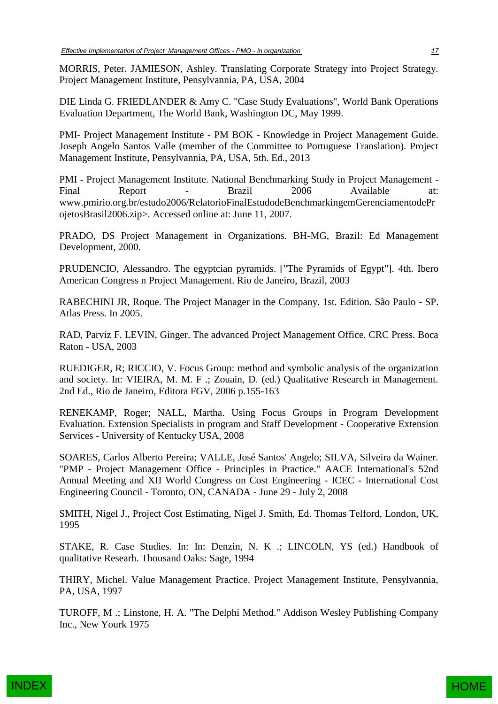MORRIS, Peter. JAMIESON, Ashley. Translating Corporate Strategy into Project Strategy. Project Management Institute, Pensylvannia, PA, USA, 2004

DIE Linda G. FRIEDLANDER & Amy C. "Case Study Evaluations", World Bank Operations Evaluation Department, The World Bank, Washington DC, May 1999.

PMI- Project Management Institute - PM BOK - Knowledge in Project Management Guide. Joseph Angelo Santos Valle (member of the Committee to Portuguese Translation). Project Management Institute, Pensylvannia, PA, USA, 5th. Ed., 2013

PMI - Project Management Institute. National Benchmarking Study in Project Management - Final Report - Brazil 2006 Available at: www.pmirio.org.br/estudo2006/RelatorioFinalEstudodeBenchmarkingemGerenciamentodePr ojetosBrasil2006.zip>. Accessed online at: June 11, 2007.

PRADO, DS Project Management in Organizations. BH-MG, Brazil: Ed Management Development, 2000.

PRUDENCIO, Alessandro. The egyptcian pyramids. ["The Pyramids of Egypt"]. 4th. Ibero American Congress n Project Management. Rio de Janeiro, Brazil, 2003

RABECHINI JR, Roque. The Project Manager in the Company. 1st. Edition. São Paulo - SP. Atlas Press. In 2005.

RAD, Parviz F. LEVIN, Ginger. The advanced Project Management Office. CRC Press. Boca Raton - USA, 2003

RUEDIGER, R; RICCIO, V. Focus Group: method and symbolic analysis of the organization and society. In: VIEIRA, M. M. F .; Zouain, D. (ed.) Qualitative Research in Management. 2nd Ed., Rio de Janeiro, Editora FGV, 2006 p.155-163

RENEKAMP, Roger; NALL, Martha. Using Focus Groups in Program Development Evaluation. Extension Specialists in program and Staff Development - Cooperative Extension Services - University of Kentucky USA, 2008

SOARES, Carlos Alberto Pereira; VALLE, José Santos' Angelo; SILVA, Silveira da Wainer. "PMP - Project Management Office - Principles in Practice." AACE International's 52nd Annual Meeting and XII World Congress on Cost Engineering - ICEC - International Cost Engineering Council - Toronto, ON, CANADA - June 29 - July 2, 2008

SMITH, Nigel J., Project Cost Estimating, Nigel J. Smith, Ed. Thomas Telford, London, UK, 1995

STAKE, R. Case Studies. In: In: Denzin, N. K .; LINCOLN, YS (ed.) Handbook of qualitative Researh. Thousand Oaks: Sage, 1994

THIRY, Michel. Value Management Practice. Project Management Institute, Pensylvannia, PA, USA, 1997

TUROFF, M .; Linstone, H. A. "The Delphi Method." Addison Wesley Publishing Company Inc., New Yourk 1975